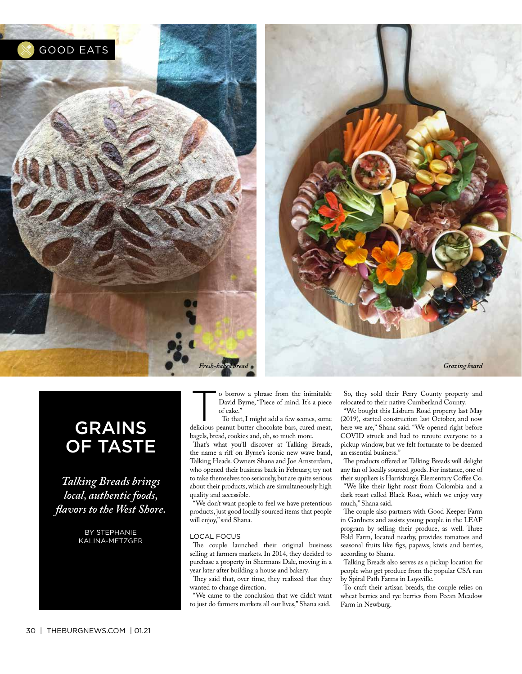

### GRAINS OF TASTE

*Talking Breads brings local, authentic foods, favors to the West Shore.*

> BY STEPHANIE KALINA-METZGER

o borrow a phrase from the inimitable<br>
David Byrne, "Piece of mind. It's a piece<br>
of cake."<br>
To that, I might add a few scones, some<br>
delicious neone and the scores of the scores. David Byrne, "Piece of mind. It's a piece of cake."

delicious peanut butter chocolate bars, cured meat, bagels, bread, cookies and, oh, so much more.

That's what you'll discover at Talking Breads, the name a riff on Byrne's iconic new wave band, Talking Heads. Owners Shana and Joe Amsterdam, who opened their business back in February, try not to take themselves too seriously, but are quite serious about their products, which are simultaneously high quality and accessible.

"We don't want people to feel we have pretentious products, just good locally sourced items that people will enjoy," said Shana.

### LOCAL FOCUS

The couple launched their original business selling at farmers markets. In 2014, they decided to purchase a property in Shermans Dale, moving in a year later after building a house and bakery.

They said that, over time, they realized that they wanted to change direction.

"We came to the conclusion that we didn't want to just do farmers markets all our lives," Shana said.

So, they sold their Perry County property and relocated to their native Cumberland County.

"We bought this Lisburn Road property last May (2019), started construction last October, and now here we are," Shana said. "We opened right before COVID struck and had to reroute everyone to a pickup window, but we felt fortunate to be deemed an essential business."

The products offered at Talking Breads will delight any fan of locally sourced goods. For instance, one of their suppliers is Harrisburg's Elementary Coffee Co. "We like their light roast from Colombia and a dark roast called Black Rose, which we enjoy very much," Shana said.

The couple also partners with Good Keeper Farm in Gardners and assists young people in the LEAF program by selling their produce, as well. Three Fold Farm, located nearby, provides tomatoes and seasonal fruits like fgs, papaws, kiwis and berries, according to Shana.

Talking Breads also serves as a pickup location for people who get produce from the popular CSA run by Spiral Path Farms in Loysville.

To craft their artisan breads, the couple relies on wheat berries and rye berries from Pecan Meadow Farm in Newburg.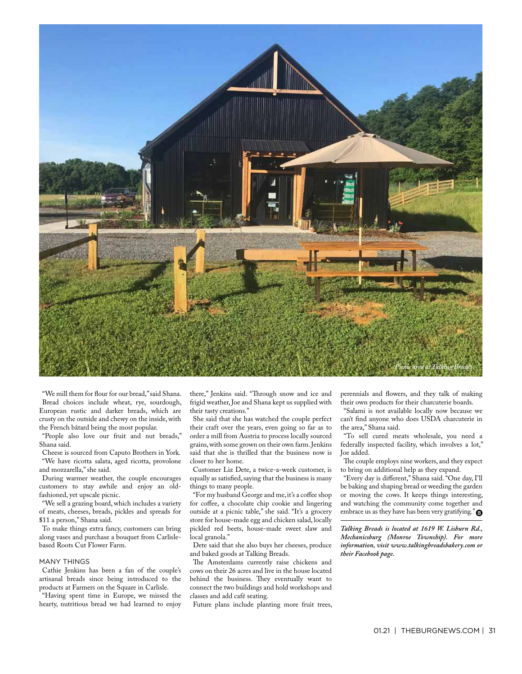

"We mill them for four for our bread," said Shana. Bread choices include wheat, rye, sourdough, European rustic and darker breads, which are crusty on the outside and chewy on the inside, with the French bâtard being the most popular.

"People also love our fruit and nut breads," Shana said.

Cheese is sourced from Caputo Brothers in York. "We have ricotta salata, aged ricotta, provolone and mozzarella," she said.

During warmer weather, the couple encourages customers to stay awhile and enjoy an oldfashioned, yet upscale picnic.

"We sell a grazing board, which includes a variety of meats, cheeses, breads, pickles and spreads for \$11 a person," Shana said.

To make things extra fancy, customers can bring along vases and purchase a bouquet from Carlislebased Roots Cut Flower Farm.

### MANY THINGS

Cathie Jenkins has been a fan of the couple's artisanal breads since being introduced to the products at Farmers on the Square in Carlisle.

"Having spent time in Europe, we missed the hearty, nutritious bread we had learned to enjoy there," Jenkins said. "Through snow and ice and frigid weather, Joe and Shana kept us supplied with their tasty creations."

She said that she has watched the couple perfect their craft over the years, even going so far as to order a mill from Austria to process locally sourced grains, with some grown on their own farm. Jenkins said that she is thrilled that the business now is closer to her home.

Customer Liz Dete, a twice-a-week customer, is equally as satisfed, saying that the business is many things to many people.

"For my husband George and me, it's a coffee shop for coffee, a chocolate chip cookie and lingering outside at a picnic table," she said. "It's a grocery store for house-made egg and chicken salad, locally pickled red beets, house-made sweet slaw and local granola."

Dete said that she also buys her cheeses, produce and baked goods at Talking Breads.

The Amsterdams currently raise chickens and cows on their 26 acres and live in the house located behind the business. They eventually want to connect the two buildings and hold workshops and classes and add café seating.

Future plans include planting more fruit trees,

perennials and fowers, and they talk of making their own products for their charcuterie boards.

"Salami is not available locally now because we can't fnd anyone who does USDA charcuterie in the area," Shana said.

"To sell cured meats wholesale, you need a federally inspected facility, which involves a lot," Joe added.

The couple employs nine workers, and they expect to bring on additional help as they expand.

"Every day is diferent," Shana said. "One day, I'll be baking and shaping bread or weeding the garden or moving the cows. It keeps things interesting, and watching the community come together and embrace us as they have has been very gratifying."

*Talking Breads is located at 1619 W. Lisburn Rd., Mechanicsburg (Monroe Township). For more information, visit www.talkingbreadsbakery.com or their Facebook page.*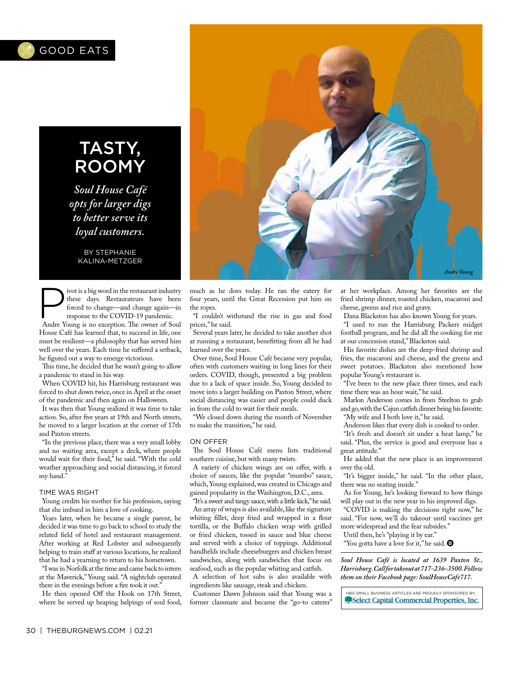

## TASTY, ROOMY

*Soul House Café opts for larger digs to better serve its loyal customers.*

> BY STEPHANIE KALINA-METZGER

Fivot is a big word in the restaurant industry<br>these days. Restaurateurs have been<br>forced to the COVID-19 pandemic.<br>Andre Yourn is no avention The pandemic. these days. Restaurateurs have been forced to change—and change again—in

Andre Young is no exception. The owner of Soul House Café has learned that, to succeed in life, one must be resilient—a philosophy that has served him well over the years. Each time he sufered a setback, he fgured out a way to emerge victorious.

This time, he decided that he wasn't going to allow a pandemic to stand in his way.

When COVID hit, his Harrisburg restaurant was forced to shut down twice, once in April at the onset of the pandemic and then again on Halloween.

It was then that Young realized it was time to take action. So, after fve years at 19th and North streets, he moved to a larger location at the corner of 17th and Paxton streets.

"In the previous place, there was a very small lobby and no waiting area, except a deck, where people would wait for their food," he said. "With the cold weather approaching and social distancing, it forced my hand."

### TIME WAS RIGHT

Young credits his mother for his profession, saying that she imbued in him a love of cooking.

Years later, when he became a single parent, he decided it was time to go back to school to study the related feld of hotel and restaurant management. After working at Red Lobster and subsequently helping to train staff at various locations, he realized that he had a yearning to return to his hometown.

"I was in Norfolk at the time and came back to intern at the Maverick," Young said. "A nightclub operated there in the evenings before a fire took it out."

He then opened Off the Hook on 17th Street, where he served up heaping helpings of soul food,



much as he does today. He ran the eatery for four years, until the Great Recession put him on the ropes.

"I couldn't withstand the rise in gas and food prices," he said.

Several years later, he decided to take another shot at running a restaurant, beneftting from all he had learned over the years.

Over time, Soul House Café became very popular, often with customers waiting in long lines for their orders. COVID, though, presented a big problem due to a lack of space inside. So, Young decided to move into a larger building on Paxton Street, where social distancing was easier and people could duck in from the cold to wait for their meals.

"We closed down during the month of November to make the transition," he said.

### ON OFFER

The Soul House Café menu lists traditional southern cuisine, but with many twists.

A variety of chicken wings are on ofer, with a choice of sauces, like the popular "mumbo" sauce, which, Young explained, was created in Chicago and gained popularity in the Washington, D.C., area.

"It's a sweet and tangy sauce, with a little kick," he said. An array of wraps is also available, like the signature whiting fillet, deep fried and wrapped in a flour tortilla, or the Bufalo chicken wrap with grilled or fried chicken, tossed in sauce and blue cheese and served with a choice of toppings. Additional handhelds include cheeseburgers and chicken breast sandwiches, along with sandwiches that focus on seafood, such as the popular whiting and catfsh.

A selection of hot subs is also available with ingredients like sausage, steak and chicken.

Customer Dawn Johnson said that Young was a former classmate and became the "go-to caterer" at her workplace. Among her favorites are the fried shrimp dinner, roasted chicken, macaroni and cheese, greens and rice and gravy.

Dana Blackston has also known Young for years.

"I used to run the Harrisburg Packers midget football program, and he did all the cooking for me at our concession stand," Blackston said.

His favorite dishes are the deep-fried shrimp and fries, the macaroni and cheese, and the greens and sweet potatoes. Blackston also mentioned how popular Young's restaurant is.

"I've been to the new place three times, and each time there was an hour wait," he said.

Marlon Anderson comes in from Steelton to grab and go, with the Cajun catfsh dinner being his favorite. "My wife and I both love it," he said.

Anderson likes that every dish is cooked to order.

"It's fresh and doesn't sit under a heat lamp," he said. "Plus, the service is good and everyone has a great attitude."

He added that the new place is an improvement over the old.

"It's bigger inside," he said. "In the other place, there was no seating inside."

As for Young, he's looking forward to how things will play out in the new year in his improved digs.

"COVID is making the decisions right now," he said. "For now, we'll do takeout until vaccines get more widespread and the fear subsides."

Until then, he's "playing it by ear." "You gotta have a love for it," he said.  $\bullet$ 

*Soul House Café is located at 1639 Paxton St., Harrisburg. Call for takeout at 717-236-3500. Follow them on their Facebook page: SoulHouseCafe717.*

HBG SMALL BUSINESS ARTICLES ARE PROUDLY SPONSORED BY: Select Capital Commercial Properties, Inc.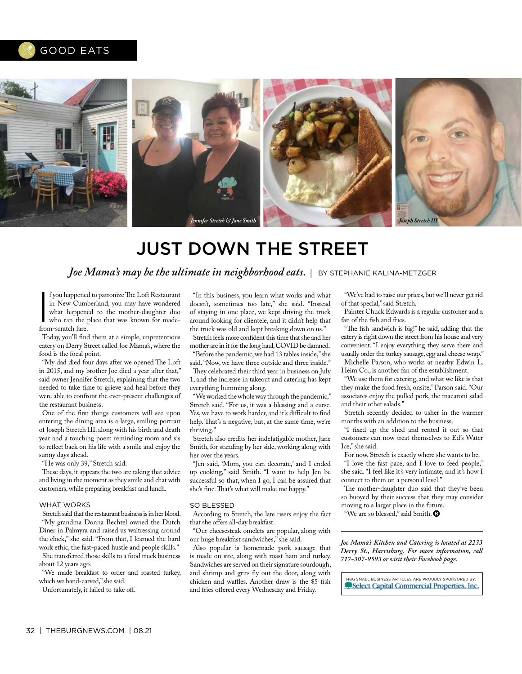### GOOD EATS



# JUST DOWN THE STREET

*Joe Mama's may be the ultimate in neighborhood eats.* | BY STEPHANIE KALINA-METZGER

f you happened<br>in New Cuml<br>what happene<br>who ran the p<br>from-scratch fare. f you happened to patronize The Loft Restaurant in New Cumberland, you may have wondered what happened to the mother-daughter duo who ran the place that was known for made-

Today, you'll fnd them at a simple, unpretentious eatery on Derry Street called Joe Mama's, where the food is the focal point.

"My dad died four days after we opened The Loft in 2015, and my brother Joe died a year after that," said owner Jennifer Stretch, explaining that the two needed to take time to grieve and heal before they were able to confront the ever-present challenges of the restaurant business.

One of the frst things customers will see upon entering the dining area is a large, smiling portrait of Joseph Stretch III, along with his birth and death year and a touching poem reminding mom and sis to refect back on his life with a smile and enjoy the sunny days ahead.

"He was only 39," Stretch said.

These days, it appears the two are taking that advice and living in the moment as they smile and chat with customers, while preparing breakfast and lunch.

### WHAT WORKS

Stretch said that the restaurant business is in her blood. "My grandma Donna Bechtel owned the Dutch Diner in Palmyra and raised us waitressing around the clock," she said. "From that, I learned the hard work ethic, the fast-paced hustle and people skills." She transferred those skills to a food truck business about 12 years ago.

"We made breakfast to order and roasted turkey, which we hand-carved," she said.

Unfortunately, it failed to take of.

"In this business, you learn what works and what doesn't, sometimes too late," she said. "Instead of staying in one place, we kept driving the truck around looking for clientele, and it didn't help that the truck was old and kept breaking down on us."

Stretch feels more confdent this time that she and her mother are in it for the long haul, COVID be damned.

"Before the pandemic, we had 13 tables inside," she said. "Now, we have three outside and three inside." They celebrated their third year in business on July 1, and the increase in takeout and catering has kept everything humming along.

"We worked the whole way through the pandemic," Stretch said. "For us, it was a blessing and a curse. Yes, we have to work harder, and it's difficult to find help. That's a negative, but, at the same time, we're thriving."

Stretch also credits her indefatigable mother, Jane Smith, for standing by her side, working along with her over the years.

"Jen said, 'Mom, you can decorate,' and I ended up cooking," said Smith. "I want to help Jen be successful so that, when I go, I can be assured that she's fine. That's what will make me happy."

### SO BLESSED

According to Stretch, the late risers enjoy the fact that she offers all-day breakfast.

"Our cheesesteak omelets are popular, along with our huge breakfast sandwiches," she said.

Also popular is homemade pork sausage that is made on site, along with roast ham and turkey. Sandwiches are served on their signature sourdough, and shrimp and grits fy out the door, along with chicken and waffles. Another draw is the \$5 fish and fries offered every Wednesday and Friday.

"We've had to raise our prices, but we'll never get rid of that special," said Stretch.

Painter Chuck Edwards is a regular customer and a fan of the fish and fries.

"The fish sandwich is big!" he said, adding that the eatery is right down the street from his house and very convenient. "I enjoy everything they serve there and usually order the turkey sausage, egg and cheese wrap." Michelle Parson, who works at nearby Edwin L. Heim Co., is another fan of the establishment.

"We use them for catering, and what we like is that they make the food fresh, onsite," Parson said. "Our associates enjoy the pulled pork, the macaroni salad and their other salads."

Stretch recently decided to usher in the warmer months with an addition to the business.

"I fxed up the shed and rented it out so that customers can now treat themselves to Ed's Water Ice," she said.

For now, Stretch is exactly where she wants to be. "I love the fast pace, and I love to feed people," she said. "I feel like it's very intimate, and it's how I connect to them on a personal level."

The mother-daughter duo said that they've been so buoyed by their success that they may consider moving to a larger place in the future.

"We are so blessed," said Smith.

*Joe Mama's Kitchen and Catering is located at 2233 Derry St., Harrisburg. For more information, call 717-307-9593 or visit their Facebook page.*

HBG SMALL BUSINESS ARTICLES ARE PROUDLY SPONSORED BY: Select Capital Commercial Properties, Inc.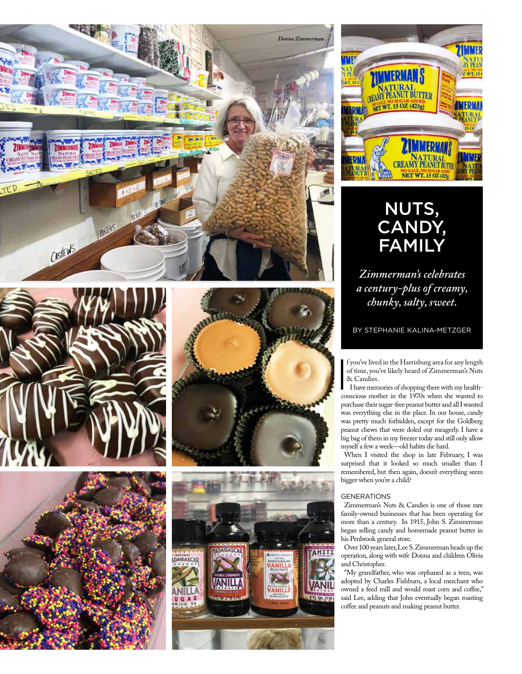









### NUTS, CANDY, FAMILY

*Zimmerman's celebrates a century-plus of creamy, chunky, salty, sweet.*

BY STEPHANIE KALINA-METZGER

 $\begin{bmatrix} 1 \\ 1 \\ 2 \\ 3 \end{bmatrix}$ f you've lived in the Harrisburg area for any length of time, you've likely heard of Zimmerman's Nuts & Candies.

I have memories of shopping there with my healthconscious mother in the 1970s when she wanted to purchase their sugar-free peanut butter and all I wanted was everything else in the place. In our house, candy was pretty much forbidden, except for the Goldberg peanut chews that were doled out meagerly. I have a big bag of them in my freezer today and still only allow myself a few a week—old habits die hard.

When I visited the shop in late February, I was surprised that it looked so much smaller than I remembered, but then again, doesn't everything seem bigger when you're a child?

### GENERATIONS

Zimmerman's Nuts & Candies is one of those rare family-owned businesses that has been operating for more than a century. In 1915, John S. Zimmerman began selling candy and homemade peanut butter in his Penbrook general store.

Over 100 years later, Lee S. Zimmerman heads up the operation, along with wife Donna and children Olivia and Christopher.

"My grandfather, who was orphaned as a teen, was adopted by Charles Fishburn, a local merchant who owned a feed mill and would roast corn and coffee," said Lee, adding that John eventually began roasting coffee and peanuts and making peanut butter.

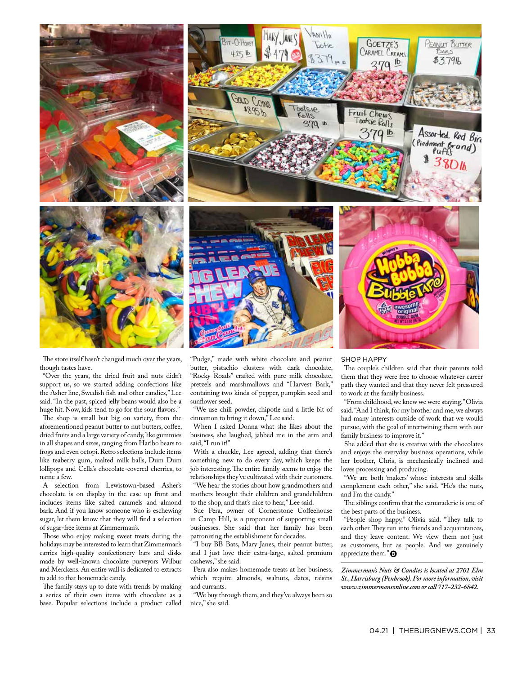



The store itself hasn't changed much over the years, though tastes have.

"Over the years, the dried fruit and nuts didn't support us, so we started adding confections like the Asher line, Swedish fsh and other candies," Lee said. "In the past, spiced jelly beans would also be a huge hit. Now, kids tend to go for the sour flavors."

The shop is small but big on variety, from the aforementioned peanut butter to nut butters, coffee, dried fruits and a large variety of candy, like gummies in all shapes and sizes, ranging from Haribo bears to frogs and even octopi. Retro selections include items like teaberry gum, malted milk balls, Dum Dum lollipops and Cella's chocolate-covered cherries, to name a few.

A selection from Lewistown-based Asher's chocolate is on display in the case up front and includes items like salted caramels and almond bark. And if you know someone who is eschewing sugar, let them know that they will fnd a selection of sugar-free items at Zimmerman's.

Those who enjoy making sweet treats during the holidays may be interested to learn that Zimmerman's carries high-quality confectionery bars and disks made by well-known chocolate purveyors Wilbur and Merckens. An entire wall is dedicated to extracts to add to that homemade candy.

The family stays up to date with trends by making a series of their own items with chocolate as a base. Popular selections include a product called "Pudge," made with white chocolate and peanut butter, pistachio clusters with dark chocolate, "Rocky Roads" crafted with pure milk chocolate, pretzels and marshmallows and "Harvest Bark," containing two kinds of pepper, pumpkin seed and sunfower seed.

"We use chili powder, chipotle and a little bit of cinnamon to bring it down," Lee said.

When I asked Donna what she likes about the business, she laughed, jabbed me in the arm and said, "I run it!"

With a chuckle, Lee agreed, adding that there's something new to do every day, which keeps the job interesting. The entire family seems to enjoy the relationships they've cultivated with their customers.

"We hear the stories about how grandmothers and mothers brought their children and grandchildren to the shop, and that's nice to hear," Lee said.

Sue Pera, owner of Cornerstone Coffeehouse in Camp Hill, is a proponent of supporting small businesses. She said that her family has been patronizing the establishment for decades.

"I buy BB Bats, Mary Janes, their peanut butter, and I just love their extra-large, salted premium cashews," she said.

Pera also makes homemade treats at her business, which require almonds, walnuts, dates, raisins and currants.

"We buy through them, and they've always been so nice," she said.

### SHOP HAPPY

The couple's children said that their parents told them that they were free to choose whatever career path they wanted and that they never felt pressured to work at the family business.

"From childhood, we knew we were staying," Olivia said. "And I think, for my brother and me, we always had many interests outside of work that we would pursue, with the goal of intertwining them with our family business to improve it."

She added that she is creative with the chocolates and enjoys the everyday business operations, while her brother, Chris, is mechanically inclined and loves processing and producing.

"We are both 'makers' whose interests and skills complement each other," she said. "He's the nuts, and I'm the candy."

The siblings confirm that the camaraderie is one of the best parts of the business.

"People shop happy," Olivia said. "They talk to each other. They run into friends and acquaintances, and they leave content. We view them not just as customers, but as people. And we genuinely appreciate them."

*Zimmerman's Nuts & Candies is located at 2701 Elm St., Harrisburg (Penbrook). For more information, visit www.zimmermansonline.com or call 717-232-6842.*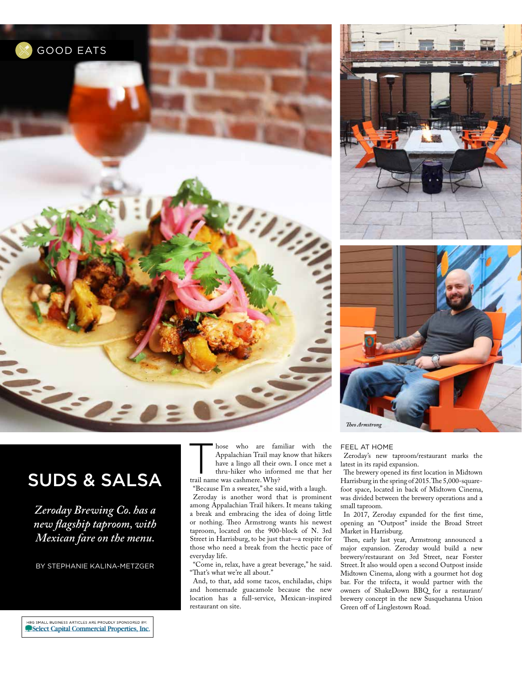





# SUDS & SALSA

*Zeroday Brewing Co. has a new fagship taproom, with Mexican fare on the menu.*

BY STEPHANIE KALINA-METZGER

hose who are familiar with the<br>Appalachian Trail may know that hikers<br>have a lingo all their own. I once met a<br>trail name who informed me that her<br>trail name where Why? Appalachian Trail may know that hikers have a lingo all their own. I once met a thru-hiker who informed me that her trail name was cashmere. Why?

"Because I'm a sweater," she said, with a laugh. Zeroday is another word that is prominent among Appalachian Trail hikers. It means taking a break and embracing the idea of doing little or nothing. Theo Armstrong wants his newest taproom, located on the 900-block of N. 3rd Street in Harrisburg, to be just that—a respite for those who need a break from the hectic pace of everyday life.

"Come in, relax, have a great beverage," he said. "That's what we're all about."

And, to that, add some tacos, enchiladas, chips and homemade guacamole because the new location has a full-service, Mexican-inspired restaurant on site.

### FEEL AT HOME

Zeroday's new taproom/restaurant marks the latest in its rapid expansion.

The brewery opened its first location in Midtown Harrisburg in the spring of 2015. The 5,000-squarefoot space, located in back of Midtown Cinema, was divided between the brewery operations and a small taproom.

In 2017, Zeroday expanded for the frst time, opening an "Outpost" inside the Broad Street Market in Harrisburg.

Then, early last year, Armstrong announced a major expansion. Zeroday would build a new brewery/restaurant on 3rd Street, near Forster Street. It also would open a second Outpost inside Midtown Cinema, along with a gourmet hot dog bar. For the trifecta, it would partner with the owners of ShakeDown BBQ for a restaurant/ brewery concept in the new Susquehanna Union Green off of Linglestown Road.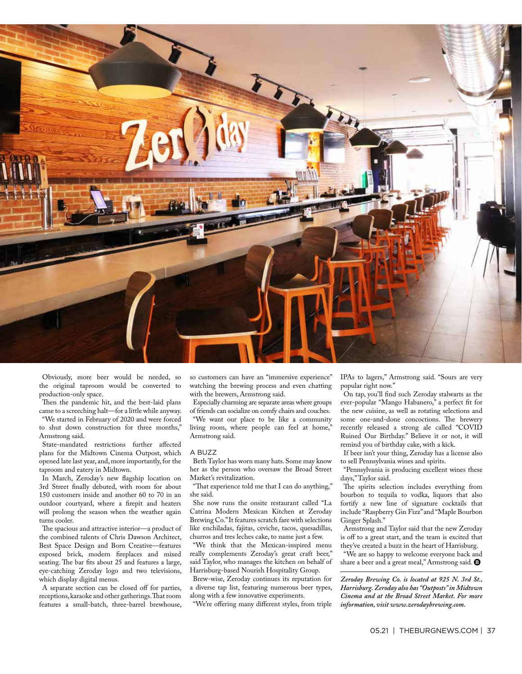

Obviously, more beer would be needed, so the original taproom would be converted to production-only space.

Then the pandemic hit, and the best-laid plans came to a screeching halt—for a little while anyway. "We started in February of 2020 and were forced

to shut down construction for three months," Armstrong said.

State-mandated restrictions further afected plans for the Midtown Cinema Outpost, which opened late last year, and, more importantly, for the taproom and eatery in Midtown.

In March, Zeroday's new fagship location on 3rd Street finally debuted, with room for about 150 customers inside and another 60 to 70 in an outdoor courtyard, where a frepit and heaters will prolong the season when the weather again turns cooler.

The spacious and attractive interior-a product of the combined talents of Chris Dawson Architect, Best Space Design and Born Creative—features exposed brick, modern freplaces and mixed seating. The bar fits about 25 and features a large, eye-catching Zeroday logo and two televisions, which display digital menus.

A separate section can be closed off for parties, receptions, karaoke and other gatherings. That room features a small-batch, three-barrel brewhouse, so customers can have an "immersive experience" watching the brewing process and even chatting with the brewers, Armstrong said.

Especially charming are separate areas where groups of friends can socialize on comfy chairs and couches.

"We want our place to be like a community living room, where people can feel at home," Armstrong said.

### A BUZZ

Beth Taylor has worn many hats. Some may know her as the person who oversaw the Broad Street Market's revitalization.

"That experience told me that I can do anything," she said.

She now runs the onsite restaurant called "La Catrina Modern Mexican Kitchen at Zeroday Brewing Co." It features scratch fare with selections like enchiladas, fajitas, ceviche, tacos, quesadillas, churros and tres leches cake, to name just a few.

"We think that the Mexican-inspired menu really complements Zeroday's great craft beer," said Taylor, who manages the kitchen on behalf of Harrisburg-based Nourish Hospitality Group.

Brew-wise, Zeroday continues its reputation for a diverse tap list, featuring numerous beer types, along with a few innovative experiments.

"We're ofering many diferent styles, from triple

IPAs to lagers," Armstrong said. "Sours are very popular right now."

On tap, you'll fnd such Zeroday stalwarts as the ever-popular "Mango Habanero," a perfect ft for the new cuisine, as well as rotating selections and some one-and-done concoctions. The brewery recently released a strong ale called "COVID Ruined Our Birthday." Believe it or not, it will remind you of birthday cake, with a kick.

If beer isn't your thing, Zeroday has a license also to sell Pennsylvania wines and spirits.

"Pennsylvania is producing excellent wines these days," Taylor said.

The spirits selection includes everything from bourbon to tequila to vodka, liquors that also fortify a new line of signature cocktails that include "Raspberry Gin Fizz" and "Maple Bourbon Ginger Splash."

Armstrong and Taylor said that the new Zeroday is off to a great start, and the team is excited that they've created a buzz in the heart of Harrisburg.

"We are so happy to welcome everyone back and share a beer and a great meal," Armstrong said.  $\bullet$ 

*Zeroday Brewing Co. is located at 925 N. 3rd St., Harrisburg. Zeroday also has "Outposts" in Midtown Cinema and at the Broad Street Market. For more information, visit www.zerodaybrewing.com.*